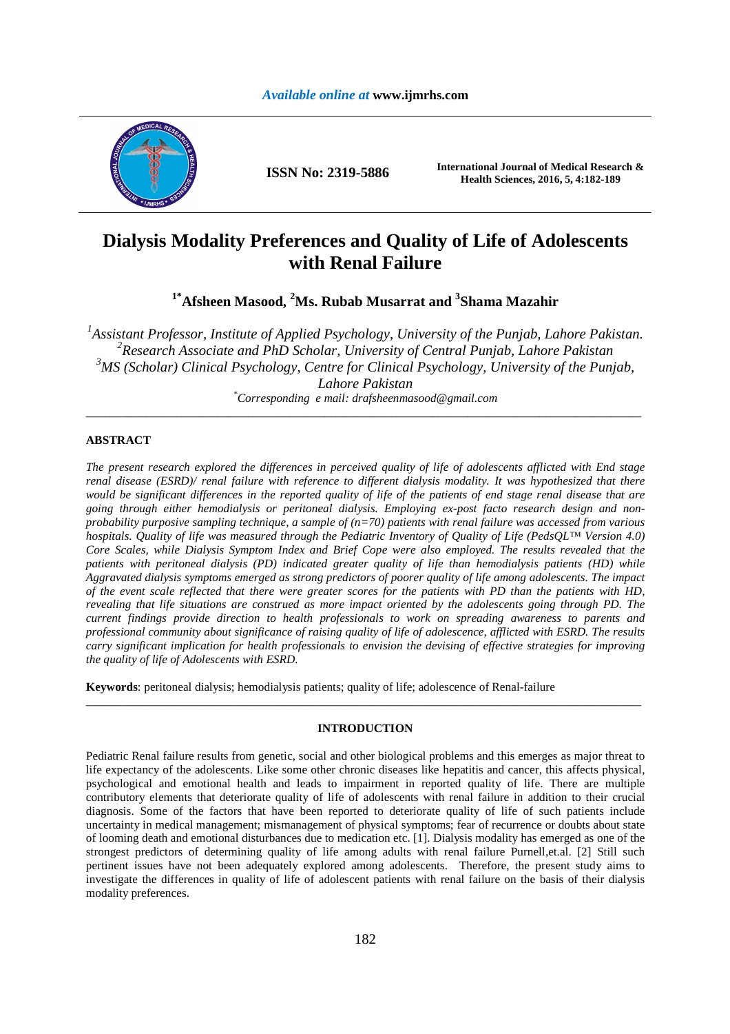

**ISSN No: 2319-5886 International Journal of Medical Research & Health Sciences, 2016, 5, 4:182-189** 

# **Dialysis Modality Preferences and Quality of Life of Adolescents with Renal Failure**

**1\*Afsheen Masood, <sup>2</sup>Ms. Rubab Musarrat and <sup>3</sup> Shama Mazahir** 

<sup>1</sup> Assistant Professor, Institute of Applied Psychology, University of the Punjab, Lahore Pakistan. *2 Research Associate and PhD Scholar, University of Central Punjab, Lahore Pakistan <sup>3</sup>MS (Scholar) Clinical Psychology, Centre for Clinical Psychology, University of the Punjab, Lahore Pakistan \*Corresponding e mail: drafsheenmasood@gmail.com* 

\_\_\_\_\_\_\_\_\_\_\_\_\_\_\_\_\_\_\_\_\_\_\_\_\_\_\_\_\_\_\_\_\_\_\_\_\_\_\_\_\_\_\_\_\_\_\_\_\_\_\_\_\_\_\_\_\_\_\_\_\_\_\_\_\_\_\_\_\_\_\_\_\_\_\_\_\_\_\_\_\_\_\_\_\_\_\_\_\_\_\_\_\_

# **ABSTRACT**

*The present research explored the differences in perceived quality of life of adolescents afflicted with End stage renal disease (ESRD)/ renal failure with reference to different dialysis modality. It was hypothesized that there would be significant differences in the reported quality of life of the patients of end stage renal disease that are going through either hemodialysis or peritoneal dialysis. Employing ex-post facto research design and nonprobability purposive sampling technique, a sample of (n=70) patients with renal failure was accessed from various hospitals. Quality of life was measured through the Pediatric Inventory of Quality of Life (PedsQL™ Version 4.0) Core Scales, while Dialysis Symptom Index and Brief Cope were also employed. The results revealed that the patients with peritoneal dialysis (PD) indicated greater quality of life than hemodialysis patients (HD) while Aggravated dialysis symptoms emerged as strong predictors of poorer quality of life among adolescents. The impact of the event scale reflected that there were greater scores for the patients with PD than the patients with HD, revealing that life situations are construed as more impact oriented by the adolescents going through PD. The current findings provide direction to health professionals to work on spreading awareness to parents and professional community about significance of raising quality of life of adolescence, afflicted with ESRD. The results carry significant implication for health professionals to envision the devising of effective strategies for improving the quality of life of Adolescents with ESRD.* 

**Keywords**: peritoneal dialysis; hemodialysis patients; quality of life; adolescence of Renal-failure

# **INTRODUCTION**

\_\_\_\_\_\_\_\_\_\_\_\_\_\_\_\_\_\_\_\_\_\_\_\_\_\_\_\_\_\_\_\_\_\_\_\_\_\_\_\_\_\_\_\_\_\_\_\_\_\_\_\_\_\_\_\_\_\_\_\_\_\_\_\_\_\_\_\_\_\_\_\_\_\_\_\_\_\_\_\_\_\_\_\_\_\_\_\_\_\_\_\_\_

Pediatric Renal failure results from genetic, social and other biological problems and this emerges as major threat to life expectancy of the adolescents. Like some other chronic diseases like hepatitis and cancer, this affects physical, psychological and emotional health and leads to impairment in reported quality of life. There are multiple contributory elements that deteriorate quality of life of adolescents with renal failure in addition to their crucial diagnosis. Some of the factors that have been reported to deteriorate quality of life of such patients include uncertainty in medical management; mismanagement of physical symptoms; fear of recurrence or doubts about state of looming death and emotional disturbances due to medication etc. [1]. Dialysis modality has emerged as one of the strongest predictors of determining quality of life among adults with renal failure Purnell,et.al. [2] Still such pertinent issues have not been adequately explored among adolescents. Therefore, the present study aims to investigate the differences in quality of life of adolescent patients with renal failure on the basis of their dialysis modality preferences.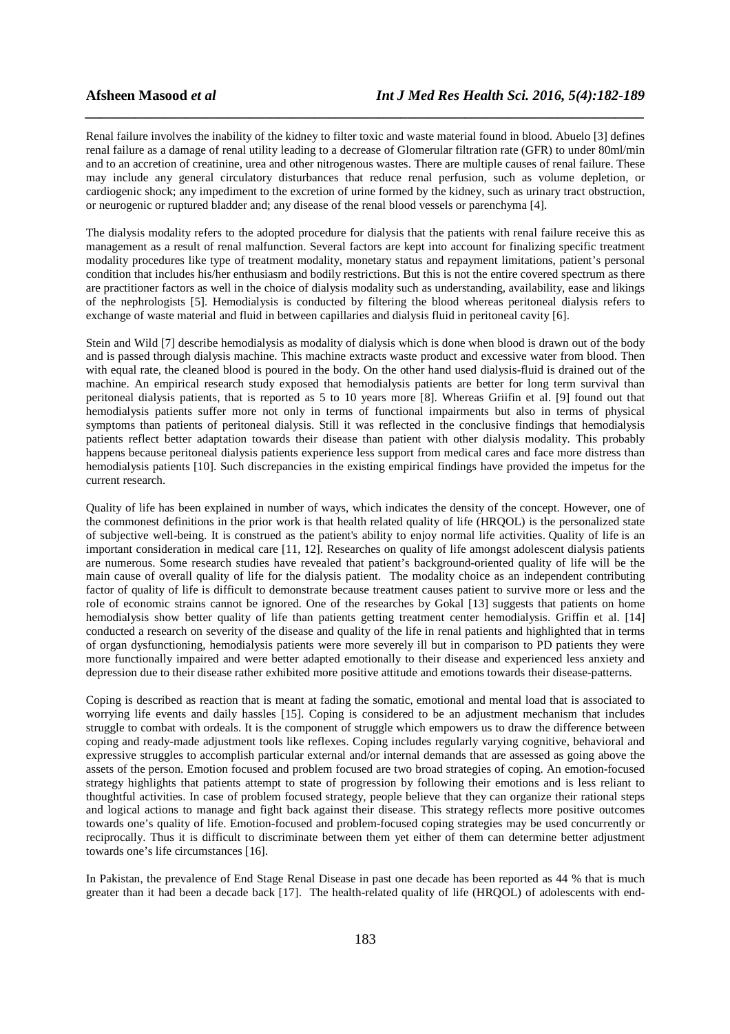Renal failure involves the inability of the kidney to filter toxic and waste material found in blood. Abuelo [3] defines renal failure as a damage of renal utility leading to a decrease of Glomerular filtration rate (GFR) to under 80ml/min and to an accretion of creatinine, urea and other nitrogenous wastes. There are multiple causes of renal failure. These may include any general circulatory disturbances that reduce renal perfusion, such as volume depletion, or cardiogenic shock; any impediment to the excretion of urine formed by the kidney, such as urinary tract obstruction, or neurogenic or ruptured bladder and; any disease of the renal blood vessels or parenchyma [4].

*\_\_\_\_\_\_\_\_\_\_\_\_\_\_\_\_\_\_\_\_\_\_\_\_\_\_\_\_\_\_\_\_\_\_\_\_\_\_\_\_\_\_\_\_\_\_\_\_\_\_\_\_\_\_\_\_\_\_\_\_\_\_\_\_\_\_\_\_\_\_\_\_\_\_\_\_\_\_*

The dialysis modality refers to the adopted procedure for dialysis that the patients with renal failure receive this as management as a result of renal malfunction. Several factors are kept into account for finalizing specific treatment modality procedures like type of treatment modality, monetary status and repayment limitations, patient's personal condition that includes his/her enthusiasm and bodily restrictions. But this is not the entire covered spectrum as there are practitioner factors as well in the choice of dialysis modality such as understanding, availability, ease and likings of the nephrologists [5]. Hemodialysis is conducted by filtering the blood whereas peritoneal dialysis refers to exchange of waste material and fluid in between capillaries and dialysis fluid in peritoneal cavity [6].

Stein and Wild [7] describe hemodialysis as modality of dialysis which is done when blood is drawn out of the body and is passed through dialysis machine. This machine extracts waste product and excessive water from blood. Then with equal rate, the cleaned blood is poured in the body. On the other hand used dialysis-fluid is drained out of the machine. An empirical research study exposed that hemodialysis patients are better for long term survival than peritoneal dialysis patients, that is reported as 5 to 10 years more [8]. Whereas Griifin et al. [9] found out that hemodialysis patients suffer more not only in terms of functional impairments but also in terms of physical symptoms than patients of peritoneal dialysis. Still it was reflected in the conclusive findings that hemodialysis patients reflect better adaptation towards their disease than patient with other dialysis modality. This probably happens because peritoneal dialysis patients experience less support from medical cares and face more distress than hemodialysis patients [10]. Such discrepancies in the existing empirical findings have provided the impetus for the current research.

Quality of life has been explained in number of ways, which indicates the density of the concept. However, one of the commonest definitions in the prior work is that health related quality of life (HRQOL) is the personalized state of subjective well-being. It is construed as the patient's ability to enjoy normal life activities. Quality of life is an important consideration in medical care [11, 12]. Researches on quality of life amongst adolescent dialysis patients are numerous. Some research studies have revealed that patient's background-oriented quality of life will be the main cause of overall quality of life for the dialysis patient. The modality choice as an independent contributing factor of quality of life is difficult to demonstrate because treatment causes patient to survive more or less and the role of economic strains cannot be ignored. One of the researches by Gokal [13] suggests that patients on home hemodialysis show better quality of life than patients getting treatment center hemodialysis. Griffin et al. [14] conducted a research on severity of the disease and quality of the life in renal patients and highlighted that in terms of organ dysfunctioning, hemodialysis patients were more severely ill but in comparison to PD patients they were more functionally impaired and were better adapted emotionally to their disease and experienced less anxiety and depression due to their disease rather exhibited more positive attitude and emotions towards their disease-patterns.

Coping is described as reaction that is meant at fading the somatic, emotional and mental load that is associated to worrying life events and daily hassles [15]. Coping is considered to be an adjustment mechanism that includes struggle to combat with ordeals. It is the component of struggle which empowers us to draw the difference between coping and ready-made adjustment tools like reflexes. Coping includes regularly varying cognitive, behavioral and expressive struggles to accomplish particular external and/or internal demands that are assessed as going above the assets of the person. Emotion focused and problem focused are two broad strategies of coping. An emotion-focused strategy highlights that patients attempt to state of progression by following their emotions and is less reliant to thoughtful activities. In case of problem focused strategy, people believe that they can organize their rational steps and logical actions to manage and fight back against their disease. This strategy reflects more positive outcomes towards one's quality of life. Emotion-focused and problem-focused coping strategies may be used concurrently or reciprocally. Thus it is difficult to discriminate between them yet either of them can determine better adjustment towards one's life circumstances [16].

In Pakistan, the prevalence of End Stage Renal Disease in past one decade has been reported as 44 % that is much greater than it had been a decade back [17]. The health-related quality of life (HRQOL) of adolescents with end-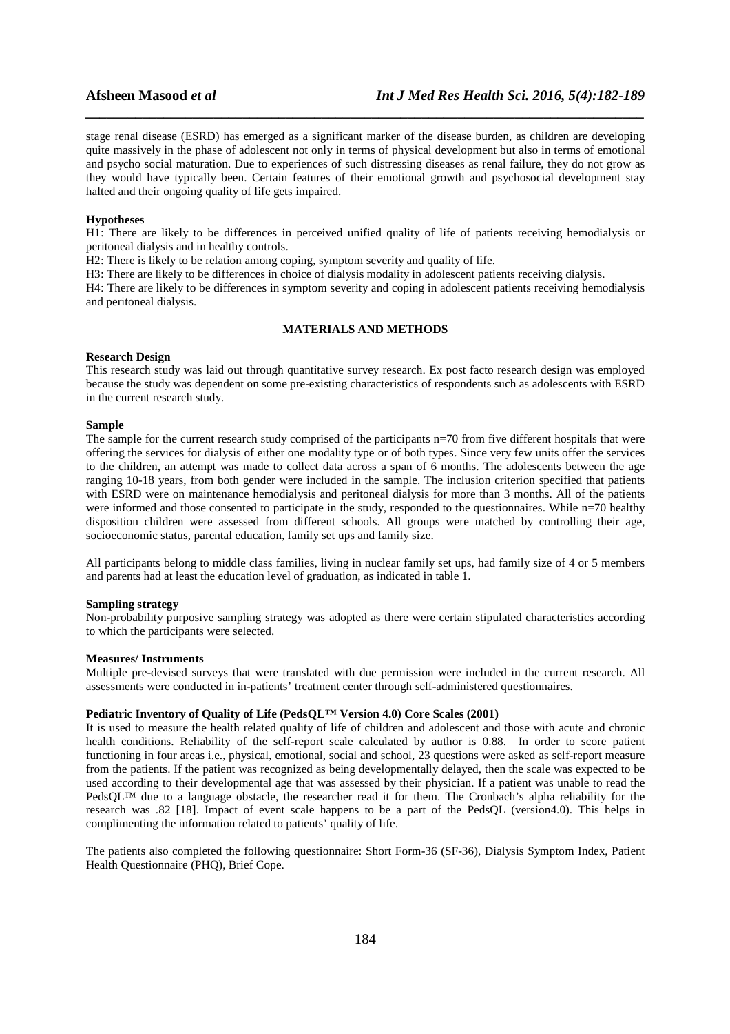stage renal disease (ESRD) has emerged as a significant marker of the disease burden, as children are developing quite massively in the phase of adolescent not only in terms of physical development but also in terms of emotional and psycho social maturation. Due to experiences of such distressing diseases as renal failure, they do not grow as they would have typically been. Certain features of their emotional growth and psychosocial development stay halted and their ongoing quality of life gets impaired.

*\_\_\_\_\_\_\_\_\_\_\_\_\_\_\_\_\_\_\_\_\_\_\_\_\_\_\_\_\_\_\_\_\_\_\_\_\_\_\_\_\_\_\_\_\_\_\_\_\_\_\_\_\_\_\_\_\_\_\_\_\_\_\_\_\_\_\_\_\_\_\_\_\_\_\_\_\_\_*

#### **Hypotheses**

H1: There are likely to be differences in perceived unified quality of life of patients receiving hemodialysis or peritoneal dialysis and in healthy controls.

H2: There is likely to be relation among coping, symptom severity and quality of life.

H3: There are likely to be differences in choice of dialysis modality in adolescent patients receiving dialysis.

H4: There are likely to be differences in symptom severity and coping in adolescent patients receiving hemodialysis and peritoneal dialysis.

# **MATERIALS AND METHODS**

#### **Research Design**

This research study was laid out through quantitative survey research. Ex post facto research design was employed because the study was dependent on some pre-existing characteristics of respondents such as adolescents with ESRD in the current research study.

#### **Sample**

The sample for the current research study comprised of the participants n=70 from five different hospitals that were offering the services for dialysis of either one modality type or of both types. Since very few units offer the services to the children, an attempt was made to collect data across a span of 6 months. The adolescents between the age ranging 10-18 years, from both gender were included in the sample. The inclusion criterion specified that patients with ESRD were on maintenance hemodialysis and peritoneal dialysis for more than 3 months. All of the patients were informed and those consented to participate in the study, responded to the questionnaires. While n=70 healthy disposition children were assessed from different schools. All groups were matched by controlling their age, socioeconomic status, parental education, family set ups and family size.

All participants belong to middle class families, living in nuclear family set ups, had family size of 4 or 5 members and parents had at least the education level of graduation, as indicated in table 1.

#### **Sampling strategy**

Non-probability purposive sampling strategy was adopted as there were certain stipulated characteristics according to which the participants were selected.

### **Measures/ Instruments**

Multiple pre-devised surveys that were translated with due permission were included in the current research. All assessments were conducted in in-patients' treatment center through self-administered questionnaires.

### **Pediatric Inventory of Quality of Life (PedsQL™ Version 4.0) Core Scales (2001)**

It is used to measure the health related quality of life of children and adolescent and those with acute and chronic health conditions. Reliability of the self-report scale calculated by author is 0.88. In order to score patient functioning in four areas i.e., physical, emotional, social and school, 23 questions were asked as self-report measure from the patients. If the patient was recognized as being developmentally delayed, then the scale was expected to be used according to their developmental age that was assessed by their physician. If a patient was unable to read the PedsQL™ due to a language obstacle, the researcher read it for them. The Cronbach's alpha reliability for the research was .82 [18]. Impact of event scale happens to be a part of the PedsQL (version4.0). This helps in complimenting the information related to patients' quality of life.

The patients also completed the following questionnaire: Short Form-36 (SF-36), Dialysis Symptom Index, Patient Health Questionnaire (PHQ), Brief Cope.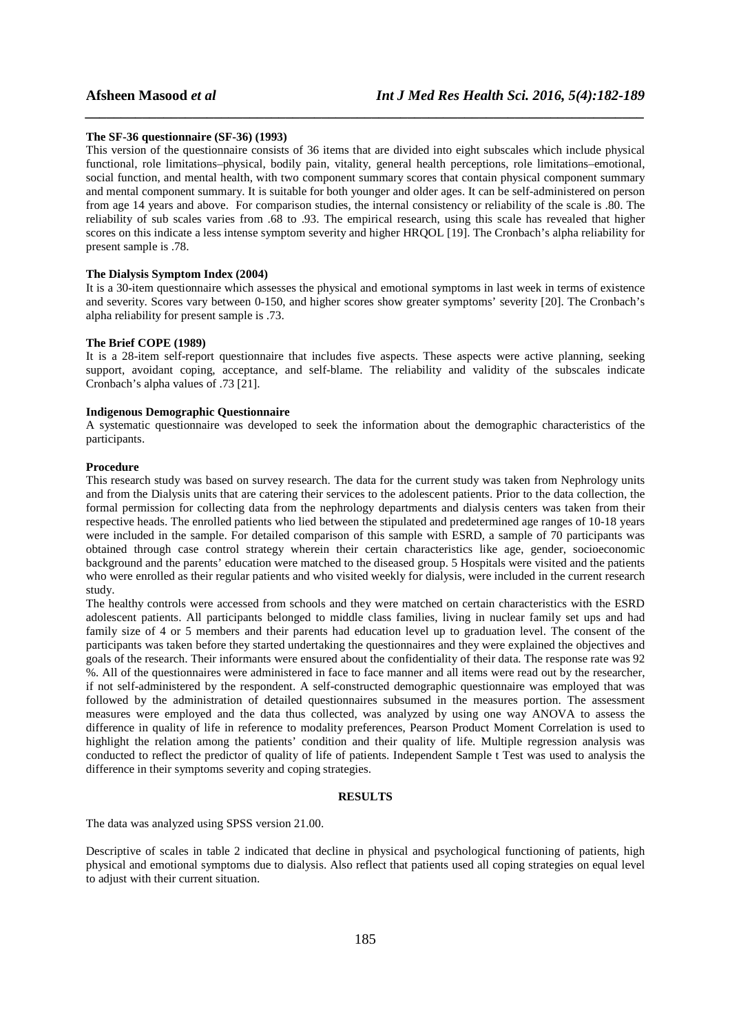### **The SF-36 questionnaire (SF-36) (1993)**

This version of the questionnaire consists of 36 items that are divided into eight subscales which include physical functional, role limitations–physical, bodily pain, vitality, general health perceptions, role limitations–emotional, social function, and mental health, with two component summary scores that contain physical component summary and mental component summary. It is suitable for both younger and older ages. It can be self-administered on person from age 14 years and above. For comparison studies, the internal consistency or reliability of the scale is .80. The reliability of sub scales varies from .68 to .93. The empirical research, using this scale has revealed that higher scores on this indicate a less intense symptom severity and higher HRQOL [19]. The Cronbach's alpha reliability for present sample is .78.

*\_\_\_\_\_\_\_\_\_\_\_\_\_\_\_\_\_\_\_\_\_\_\_\_\_\_\_\_\_\_\_\_\_\_\_\_\_\_\_\_\_\_\_\_\_\_\_\_\_\_\_\_\_\_\_\_\_\_\_\_\_\_\_\_\_\_\_\_\_\_\_\_\_\_\_\_\_\_*

# **The Dialysis Symptom Index (2004)**

It is a 30-item questionnaire which assesses the physical and emotional symptoms in last week in terms of existence and severity. Scores vary between 0-150, and higher scores show greater symptoms' severity [20]. The Cronbach's alpha reliability for present sample is .73.

### **The Brief COPE (1989)**

It is a 28-item self-report questionnaire that includes five aspects. These aspects were active planning, seeking support, avoidant coping, acceptance, and self-blame. The reliability and validity of the subscales indicate Cronbach's alpha values of .73 [21].

#### **Indigenous Demographic Questionnaire**

A systematic questionnaire was developed to seek the information about the demographic characteristics of the participants.

#### **Procedure**

This research study was based on survey research. The data for the current study was taken from Nephrology units and from the Dialysis units that are catering their services to the adolescent patients. Prior to the data collection, the formal permission for collecting data from the nephrology departments and dialysis centers was taken from their respective heads. The enrolled patients who lied between the stipulated and predetermined age ranges of 10-18 years were included in the sample. For detailed comparison of this sample with ESRD, a sample of 70 participants was obtained through case control strategy wherein their certain characteristics like age, gender, socioeconomic background and the parents' education were matched to the diseased group. 5 Hospitals were visited and the patients who were enrolled as their regular patients and who visited weekly for dialysis, were included in the current research study.

The healthy controls were accessed from schools and they were matched on certain characteristics with the ESRD adolescent patients. All participants belonged to middle class families, living in nuclear family set ups and had family size of 4 or 5 members and their parents had education level up to graduation level. The consent of the participants was taken before they started undertaking the questionnaires and they were explained the objectives and goals of the research. Their informants were ensured about the confidentiality of their data. The response rate was 92 %. All of the questionnaires were administered in face to face manner and all items were read out by the researcher, if not self-administered by the respondent. A self-constructed demographic questionnaire was employed that was followed by the administration of detailed questionnaires subsumed in the measures portion. The assessment measures were employed and the data thus collected, was analyzed by using one way ANOVA to assess the difference in quality of life in reference to modality preferences, Pearson Product Moment Correlation is used to highlight the relation among the patients' condition and their quality of life. Multiple regression analysis was conducted to reflect the predictor of quality of life of patients. Independent Sample t Test was used to analysis the difference in their symptoms severity and coping strategies.

#### **RESULTS**

The data was analyzed using SPSS version 21.00.

Descriptive of scales in table 2 indicated that decline in physical and psychological functioning of patients, high physical and emotional symptoms due to dialysis. Also reflect that patients used all coping strategies on equal level to adjust with their current situation.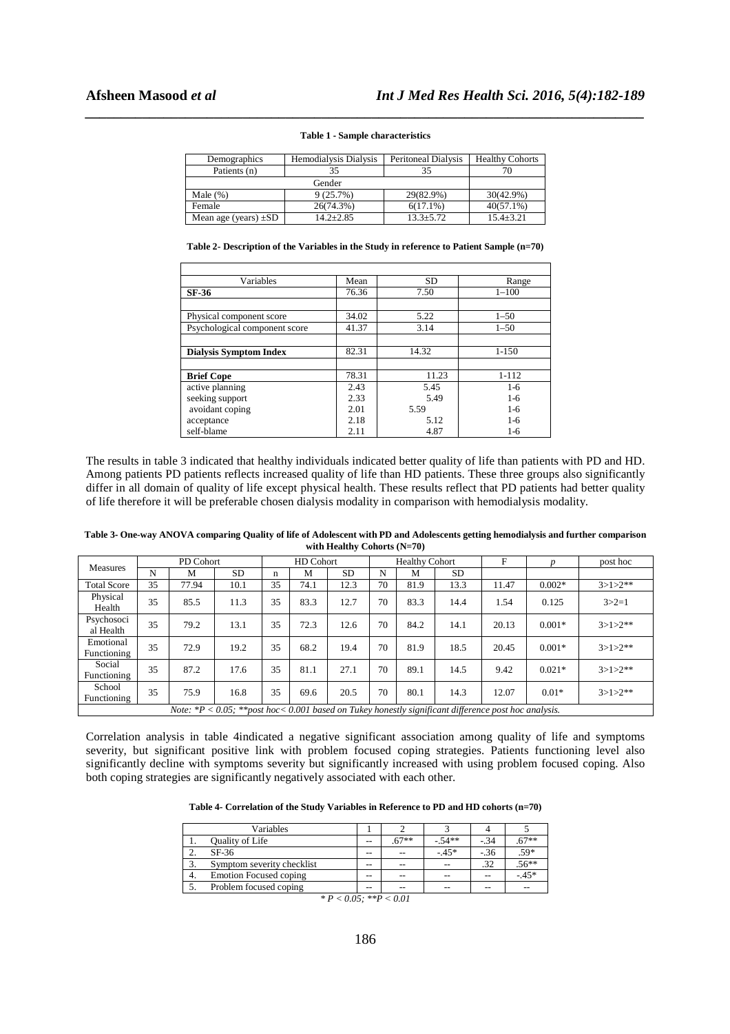| Demographics              | Hemodialysis Dialysis | <b>Peritoneal Dialysis</b> | <b>Healthy Cohorts</b> |  |  |
|---------------------------|-----------------------|----------------------------|------------------------|--|--|
| Patients (n)              | 35                    | 35                         |                        |  |  |
|                           |                       |                            |                        |  |  |
| Male $(\%)$               | 9(25.7%)              | 29(82.9%)                  | 30(42.9%)              |  |  |
| Female                    | 26(74.3%)             | $6(17.1\%)$                | $40(57.1\%)$           |  |  |
| Mean age (years) $\pm SD$ | $14.2 + 2.85$         | $13.3 + 5.72$              | $15.4 \pm 3.21$        |  |  |

*\_\_\_\_\_\_\_\_\_\_\_\_\_\_\_\_\_\_\_\_\_\_\_\_\_\_\_\_\_\_\_\_\_\_\_\_\_\_\_\_\_\_\_\_\_\_\_\_\_\_\_\_\_\_\_\_\_\_\_\_\_\_\_\_\_\_\_\_\_\_\_\_\_\_\_\_\_\_* **Table 1 - Sample characteristics** 

**Table 2- Description of the Variables in the Study in reference to Patient Sample (n=70)** 

| Variables                     | Mean  | <b>SD</b> | Range     |  |
|-------------------------------|-------|-----------|-----------|--|
| SF-36                         | 76.36 | 7.50      | $1 - 100$ |  |
|                               |       |           |           |  |
| Physical component score      | 34.02 | 5.22      | $1 - 50$  |  |
| Psychological component score | 41.37 | 3.14      | $1 - 50$  |  |
|                               |       |           |           |  |
| <b>Dialysis Symptom Index</b> | 82.31 | 14.32     | $1 - 150$ |  |
|                               |       |           |           |  |
| <b>Brief Cope</b>             | 78.31 | 11.23     | $1 - 112$ |  |
| active planning               | 2.43  | 5.45      | $1-6$     |  |
| seeking support               | 2.33  | 5.49      | $1-6$     |  |
| avoidant coping               | 2.01  | 5.59      | $1 - 6$   |  |
| acceptance                    | 2.18  | 5.12      | $1-6$     |  |
| self-blame                    | 2.11  | 4.87      | 1-6       |  |

The results in table 3 indicated that healthy individuals indicated better quality of life than patients with PD and HD. Among patients PD patients reflects increased quality of life than HD patients. These three groups also significantly differ in all domain of quality of life except physical health. These results reflect that PD patients had better quality of life therefore it will be preferable chosen dialysis modality in comparison with hemodialysis modality.

**Table 3- One-way ANOVA comparing Quality of life of Adolescent with PD and Adolescents getting hemodialysis and further comparison with Healthy Cohorts (N=70)**

| <b>Measures</b>                                                                                           |    | PD Cohort |      | HD Cohort |      | <b>Healthy Cohort</b> |    |      | F         |       | post hoc |             |
|-----------------------------------------------------------------------------------------------------------|----|-----------|------|-----------|------|-----------------------|----|------|-----------|-------|----------|-------------|
|                                                                                                           | N  | M         | SD.  | n         | М    | <b>SD</b>             | N  | M    | <b>SD</b> |       |          |             |
| <b>Total Score</b>                                                                                        | 35 | 77.94     | 10.1 | 35        | 74.1 | 12.3                  | 70 | 81.9 | 13.3      | 11.47 | $0.002*$ | $3>1>2**$   |
| Physical<br>Health                                                                                        | 35 | 85.5      | 11.3 | 35        | 83.3 | 12.7                  | 70 | 83.3 | 14.4      | 1.54  | 0.125    | $3 > 2 = 1$ |
| Psychosoci<br>al Health                                                                                   | 35 | 79.2      | 13.1 | 35        | 72.3 | 12.6                  | 70 | 84.2 | 14.1      | 20.13 | $0.001*$ | $3>1>2**$   |
| Emotional<br>Functioning                                                                                  | 35 | 72.9      | 19.2 | 35        | 68.2 | 19.4                  | 70 | 81.9 | 18.5      | 20.45 | $0.001*$ | $3>1>2**$   |
| Social<br>Functioning                                                                                     | 35 | 87.2      | 17.6 | 35        | 81.1 | 27.1                  | 70 | 89.1 | 14.5      | 9.42  | $0.021*$ | $3>1>2**$   |
| School<br>Functioning                                                                                     | 35 | 75.9      | 16.8 | 35        | 69.6 | 20.5                  | 70 | 80.1 | 14.3      | 12.07 | $0.01*$  | $3>1>2**$   |
| Note: $*P < 0.05$ ; $*$ post hoc< 0.001 based on Tukey honestly significant difference post hoc analysis. |    |           |      |           |      |                       |    |      |           |       |          |             |

Correlation analysis in table 4indicated a negative significant association among quality of life and symptoms severity, but significant positive link with problem focused coping strategies. Patients functioning level also significantly decline with symptoms severity but significantly increased with using problem focused coping. Also both coping strategies are significantly negatively associated with each other.

| Table 4- Correlation of the Study Variables in Reference to PD and HD cohorts $(n=70)$ |  |  |
|----------------------------------------------------------------------------------------|--|--|
|----------------------------------------------------------------------------------------|--|--|

|    | Variables                     |       |         |         |        |         |
|----|-------------------------------|-------|---------|---------|--------|---------|
|    | <b>Quality of Life</b>        | --    | $.67**$ | $-54**$ | $-.34$ | $.67**$ |
| ٠. | $SF-36$                       | $- -$ | $- -$   | $-45*$  | $-36$  | .59*    |
| ◠  | Symptom severity checklist    | $- -$ | $-$     | $- -$   | .32    | $.56**$ |
| 4. | <b>Emotion Focused coping</b> | $- -$ | $- -$   | $- -$   | --     | $-45*$  |
|    | Problem focused coping        | $- -$ |         | $- -$   | --     |         |

 $* P < 0.05; *P < 0.01$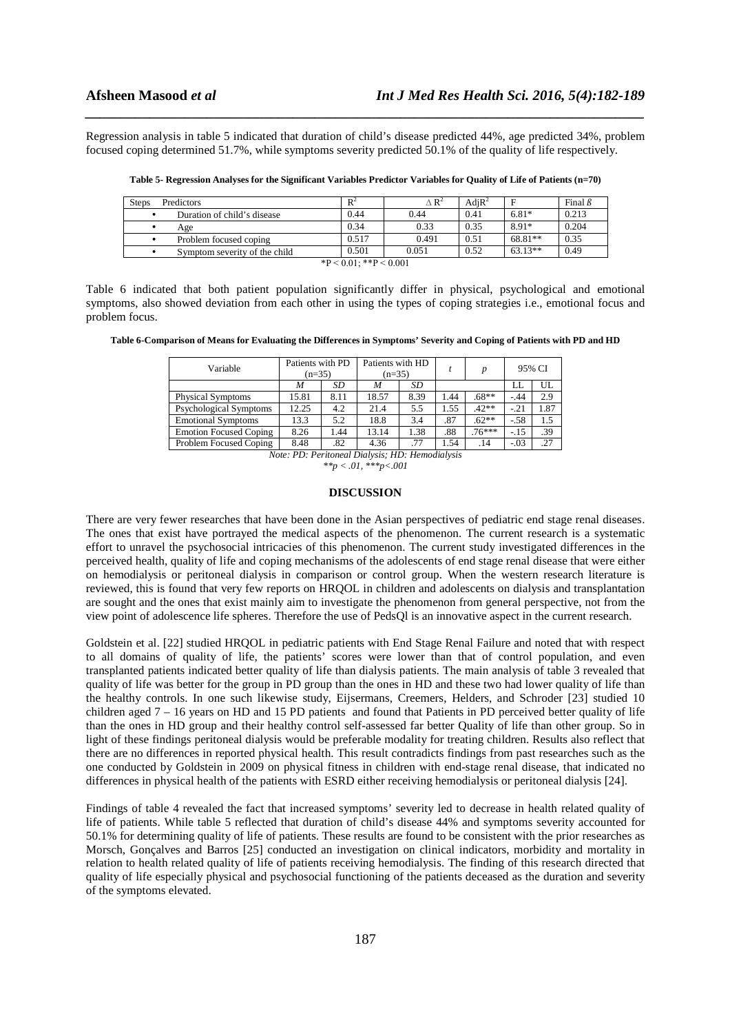Regression analysis in table 5 indicated that duration of child's disease predicted 44%, age predicted 34%, problem focused coping determined 51.7%, while symptoms severity predicted 50.1% of the quality of life respectively.

*\_\_\_\_\_\_\_\_\_\_\_\_\_\_\_\_\_\_\_\_\_\_\_\_\_\_\_\_\_\_\_\_\_\_\_\_\_\_\_\_\_\_\_\_\_\_\_\_\_\_\_\_\_\_\_\_\_\_\_\_\_\_\_\_\_\_\_\_\_\_\_\_\_\_\_\_\_\_*

| <b>Predictors</b><br><b>Steps</b> | $R^2$ | $\Delta$ R <sup>2</sup> | $AdiR^2$ |           | Final $\beta$ |  |  |  |
|-----------------------------------|-------|-------------------------|----------|-----------|---------------|--|--|--|
| Duration of child's disease       | 0.44  | 0.44                    | 0.41     | $6.81*$   | 0.213         |  |  |  |
| Age                               | 0.34  | 0.33                    | 0.35     | 8.91*     | 0.204         |  |  |  |
| Problem focused coping            | 0.517 | 0.491                   | 0.51     | 68.81**   | 0.35          |  |  |  |
| Symptom severity of the child     | 0.501 | 0.051                   | 0.52     | $63.13**$ | 0.49          |  |  |  |
| $*P < 0.01$ ; $*P < 0.001$        |       |                         |          |           |               |  |  |  |

**Table 5- Regression Analyses for the Significant Variables Predictor Variables for Quality of Life of Patients (n=70)** 

Table 6 indicated that both patient population significantly differ in physical, psychological and emotional symptoms, also showed deviation from each other in using the types of coping strategies i.e., emotional focus and problem focus.

**Table 6-Comparison of Means for Evaluating the Differences in Symptoms' Severity and Coping of Patients with PD and HD** 

| Variable                                        | Patients with PD<br>$(n=35)$ |      | Patients with HD<br>$(n=35)$ |      |      | p        |        | 95% CI |  |  |
|-------------------------------------------------|------------------------------|------|------------------------------|------|------|----------|--------|--------|--|--|
|                                                 | M                            | SD   | M                            | SD   |      |          | LL     | UL     |  |  |
| <b>Physical Symptoms</b>                        | 15.81                        | 8.11 | 18.57                        | 8.39 | 1.44 | $.68**$  | $-.44$ | 2.9    |  |  |
| Psychological Symptoms                          | 12.25<br>4.2                 |      | 21.4                         | 5.5  | 1.55 | $.42**$  | $-21$  | 1.87   |  |  |
| <b>Emotional Symptoms</b>                       | 13.3                         | 5.2  | 18.8                         | 3.4  | .87  | $.62**$  | $-.58$ | 1.5    |  |  |
| <b>Emotion Focused Coping</b>                   | 8.26                         | 1.44 | 13.14                        | 1.38 | .88  | $.76***$ | $-.15$ | .39    |  |  |
| Problem Focused Coping                          | 8.48<br>.82                  |      | 4.36                         | .77  | 1.54 | .14      | $-.03$ | .27    |  |  |
| Note: PD: Peritoneal Dialysis: HD: Hemodialysis |                              |      |                              |      |      |          |        |        |  |  |

*\*\*p < .01, \*\*\*p<.001*

#### **DISCUSSION**

There are very fewer researches that have been done in the Asian perspectives of pediatric end stage renal diseases. The ones that exist have portrayed the medical aspects of the phenomenon. The current research is a systematic effort to unravel the psychosocial intricacies of this phenomenon. The current study investigated differences in the perceived health, quality of life and coping mechanisms of the adolescents of end stage renal disease that were either on hemodialysis or peritoneal dialysis in comparison or control group. When the western research literature is reviewed, this is found that very few reports on HRQOL in children and adolescents on dialysis and transplantation are sought and the ones that exist mainly aim to investigate the phenomenon from general perspective, not from the view point of adolescence life spheres. Therefore the use of PedsQl is an innovative aspect in the current research.

Goldstein et al. [22] studied HRQOL in pediatric patients with End Stage Renal Failure and noted that with respect to all domains of quality of life, the patients' scores were lower than that of control population, and even transplanted patients indicated better quality of life than dialysis patients. The main analysis of table 3 revealed that quality of life was better for the group in PD group than the ones in HD and these two had lower quality of life than the healthy controls. In one such likewise study, Eijsermans, Creemers, Helders, and Schroder [23] studied 10 children aged 7 – 16 years on HD and 15 PD patients and found that Patients in PD perceived better quality of life than the ones in HD group and their healthy control self-assessed far better Quality of life than other group. So in light of these findings peritoneal dialysis would be preferable modality for treating children. Results also reflect that there are no differences in reported physical health. This result contradicts findings from past researches such as the one conducted by Goldstein in 2009 on physical fitness in children with end-stage renal disease, that indicated no differences in physical health of the patients with ESRD either receiving hemodialysis or peritoneal dialysis [24].

Findings of table 4 revealed the fact that increased symptoms' severity led to decrease in health related quality of life of patients. While table 5 reflected that duration of child's disease 44% and symptoms severity accounted for 50.1% for determining quality of life of patients. These results are found to be consistent with the prior researches as Morsch, Gonçalves and Barros [25] conducted an investigation on clinical indicators, morbidity and mortality in relation to health related quality of life of patients receiving hemodialysis. The finding of this research directed that quality of life especially physical and psychosocial functioning of the patients deceased as the duration and severity of the symptoms elevated.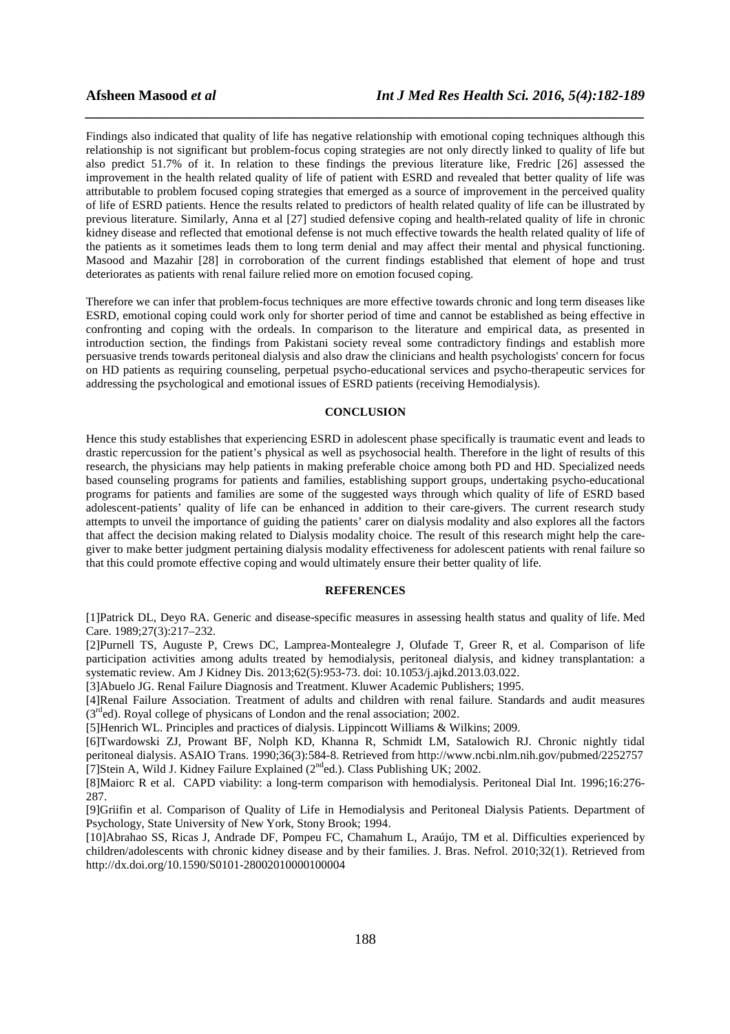Findings also indicated that quality of life has negative relationship with emotional coping techniques although this relationship is not significant but problem-focus coping strategies are not only directly linked to quality of life but also predict 51.7% of it. In relation to these findings the previous literature like, Fredric [26] assessed the improvement in the health related quality of life of patient with ESRD and revealed that better quality of life was attributable to problem focused coping strategies that emerged as a source of improvement in the perceived quality of life of ESRD patients. Hence the results related to predictors of health related quality of life can be illustrated by previous literature. Similarly, Anna et al [27] studied defensive coping and health-related quality of life in chronic kidney disease and reflected that emotional defense is not much effective towards the health related quality of life of the patients as it sometimes leads them to long term denial and may affect their mental and physical functioning. Masood and Mazahir [28] in corroboration of the current findings established that element of hope and trust deteriorates as patients with renal failure relied more on emotion focused coping.

*\_\_\_\_\_\_\_\_\_\_\_\_\_\_\_\_\_\_\_\_\_\_\_\_\_\_\_\_\_\_\_\_\_\_\_\_\_\_\_\_\_\_\_\_\_\_\_\_\_\_\_\_\_\_\_\_\_\_\_\_\_\_\_\_\_\_\_\_\_\_\_\_\_\_\_\_\_\_*

Therefore we can infer that problem-focus techniques are more effective towards chronic and long term diseases like ESRD, emotional coping could work only for shorter period of time and cannot be established as being effective in confronting and coping with the ordeals. In comparison to the literature and empirical data, as presented in introduction section, the findings from Pakistani society reveal some contradictory findings and establish more persuasive trends towards peritoneal dialysis and also draw the clinicians and health psychologists' concern for focus on HD patients as requiring counseling, perpetual psycho-educational services and psycho-therapeutic services for addressing the psychological and emotional issues of ESRD patients (receiving Hemodialysis).

# **CONCLUSION**

Hence this study establishes that experiencing ESRD in adolescent phase specifically is traumatic event and leads to drastic repercussion for the patient's physical as well as psychosocial health. Therefore in the light of results of this research, the physicians may help patients in making preferable choice among both PD and HD. Specialized needs based counseling programs for patients and families, establishing support groups, undertaking psycho-educational programs for patients and families are some of the suggested ways through which quality of life of ESRD based adolescent-patients' quality of life can be enhanced in addition to their care-givers. The current research study attempts to unveil the importance of guiding the patients' carer on dialysis modality and also explores all the factors that affect the decision making related to Dialysis modality choice. The result of this research might help the caregiver to make better judgment pertaining dialysis modality effectiveness for adolescent patients with renal failure so that this could promote effective coping and would ultimately ensure their better quality of life.

# **REFERENCES**

[1]Patrick DL, Deyo RA. Generic and disease-specific measures in assessing health status and quality of life. Med Care. 1989;27(3):217–232.

[2]Purnell TS, Auguste P, Crews DC, Lamprea-Montealegre J, Olufade T, Greer R, et al. Comparison of life participation activities among adults treated by hemodialysis, peritoneal dialysis, and kidney transplantation: a systematic review. Am J Kidney Dis. 2013;62(5):953-73. doi: 10.1053/j.ajkd.2013.03.022.

[3]Abuelo JG. Renal Failure Diagnosis and Treatment. Kluwer Academic Publishers; 1995.

[4]Renal Failure Association. Treatment of adults and children with renal failure. Standards and audit measures  $(3<sup>rd</sup>ed)$ . Royal college of physicans of London and the renal association; 2002.

[5]Henrich WL. Principles and practices of dialysis. Lippincott Williams & Wilkins; 2009.

[6]Twardowski ZJ, Prowant BF, Nolph KD, Khanna R, Schmidt LM, Satalowich RJ. Chronic nightly tidal peritoneal dialysis. ASAIO Trans. 1990;36(3):584-8. Retrieved from http://www.ncbi.nlm.nih.gov/pubmed/2252757 [7]Stein A, Wild J. Kidney Failure Explained  $(2<sup>nd</sup>ed.)$ . Class Publishing UK; 2002.

[8]Maiorc R et al. CAPD viability: a long-term comparison with hemodialysis. Peritoneal Dial Int. 1996;16:276- 287.

[9]Griifin et al. Comparison of Quality of Life in Hemodialysis and Peritoneal Dialysis Patients. Department of Psychology, State University of New York, Stony Brook; 1994.

[10]Abrahao SS, Ricas J, Andrade DF, Pompeu FC, Chamahum L, Araújo, TM et al. Difficulties experienced by children/adolescents with chronic kidney disease and by their families. J. Bras. Nefrol. 2010;32(1). Retrieved from http://dx.doi.org/10.1590/S0101-28002010000100004